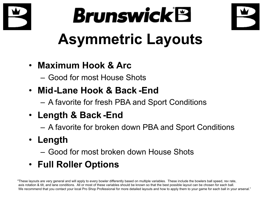





#### • **Maximum Hook & Arc**

- Good for most House Shots
- **Mid-Lane Hook & Back -End**
	- A favorite for fresh PBA and Sport Conditions
- **Length & Back -End**
	- –A favorite for broken down PBA and Sport Conditions
- **Length**
	- Good for most broken down House Shots
- **Full Roller Options**

"These layouts are very general and will apply to every bowler differently based on multiple variables. These include the bowlers ball speed, rev rate, axis rotation & tilt, and lane conditions. All or most of these variables should be known so that the best possible layout can be chosen for each ball. We recommend that you contact your local Pro Shop Professional for more detailed layouts and how to apply them to your game for each ball in your arsenal."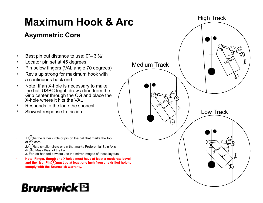### **Maximum Hook & Arc**

#### **Asymmetric Core**

- •**Best pin out distance to use: 0"– 3**  $\frac{1}{2}$ "
- •Locator pin set at 45 degrees
- Pin below fingers (VAL angle 70 degrees) •
- • Rev's up strong for maximum hook witha continuous back-end.
- • Note: If an X-hole is necessary to make the ball USBC legal, draw a line from the Grip center through the CG and place theX-hole where it hits the VAL
- Responds to the lane the soonest.•
- •Slowest response to friction.
- • $\cdot$  1. (P) is the larger circle or pin on the ball that marks the top of the core. 2.〔L〕is a smaller circle or pin that marks Preferential Spin Axis (PSA / Mass Bias) of the ball 3. For left-handed bowlers use the mirror images of these layouts
- • **Note: Finger, thumb and X**- **holes must have at least a moderate bevel** and the riser Pin( P*)*must be at least one inch from any drilled hole to **comply with the Brunswick warranty.**

# **Brunswick<sup>®</sup>**

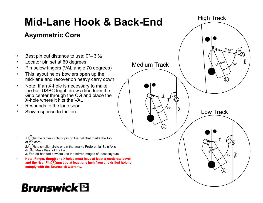#### High Track**Mid-Lane Hook & Back-EndAsymmetric CoreP** $5 \frac{1}{2}$  $^\prime$ 70° **ABest pin out distance to use: 0"– 3**  $\frac{1}{2}$ " •VAL Locator pin set at 60 degreescGArea •Medium Track60°• Pin below fingers (VAL angle 70 degrees) • This layout helps bowlers open up the• mid-lane and recover on heavy carry down**L** Note: If an X-hole is necessary to make• the ball USBC legal, draw a line from the Grip center through the CG and place the**P** $\mathbb{R}$   $\rightarrow$   $\frac{5}{2}$ 70°X-hole where it hits the VAL**A**• Responds to the lane soon. •<sub>C</sub>G/Area 60°D Slow response to friction.Low Track•**L** $\cdot$  1. (P) is the larger circle or pin on the ball that marks the top •5"70°**P**of the core. **A**2.〔L〕is a smaller circle or pin that marks Preferential Spin Axis Conne<sup>s</sup> (PSA / Mass Bias) of the ball VAL3. For left-handed bowlers use the mirror images of these layouts60° **Note: Finger, thumb and X**- **holes must have at least a moderate bevel** •and the riser Pin( P*)*must be at least one inch from any drilled hole to **comply with the Brunswick warranty.LBrunswick**'B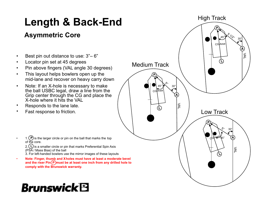### **Length & Back-End**

#### **Asymmetric Core**

- •• Best pin out distance to use:  $3 - 6$
- •Locator pin set at 45 degrees
- Pin above fingers (VAL angle 30 degrees) •
- • This layout helps bowlers open up themid-lane and recover on heavy carry down
- • Note: If an X-hole is necessary to make the ball USBC legal, draw a line from the Grip center through the CG and place theX-hole where it hits the VAL
- •Responds to the lane late.
- •Fast response to friction.
- • $\cdot$  1. (P) is the larger circle or pin on the ball that marks the top of the core. 2.〔L〕is a smaller circle or pin that marks Preferential Spin Axis (PSA / Mass Bias) of the ball 3. For left-handed bowlers use the mirror images of these layouts
- • **Note: Finger, thumb and X**- **holes must have at least a moderate bevel** and the riser Pin( P*)*must be at least one inch from any drilled hole to **comply with the Brunswick warranty.**

## **Brunswick<sup>®</sup>**

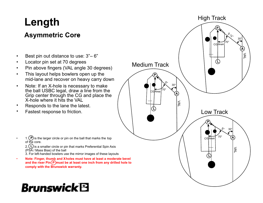### **Length**

#### **Asymmetric Core-**

- •• Best pin out distance to use:  $3 - 6$
- •Locator pin set at 70 degrees
- Pin above fingers (VAL angle 30 degrees) •
- • This layout helps bowlers open up themid-lane and recover on heavy carry down
- • Note: If an X-hole is necessary to make the ball USBC legal, draw a line from the Grip center through the CG and place theX-hole where it hits the VAL
- Responds to the lane the latest. •
- •Fastest response to friction.

•

**CG** Area Medium TrackLow Track**AAA** $\mathcal{S}_{\zeta}$ , VALVAL $\Sigma$ 5"**P**70°30°30°30° $5<sup>2</sup>$  30 CGLArea **PL**70°**CG** Area **LP** $70^\circ$ **L**

High Track

 $\cdot$  1. (P) is the larger circle or pin on the ball that marks the top of the core.

2.〔L〕is a smaller circle or pin that marks Preferential Spin Axis (PSA / Mass Bias) of the ball

- 3. For left-handed bowlers use the mirror images of these layouts
- • **Note: Finger, thumb and X**- **holes must have at least a moderate bevel** and the riser Pin( P*)*must be at least one inch from any drilled hole to **comply with the Brunswick warranty.**

### **Brunswick<sup>®</sup>**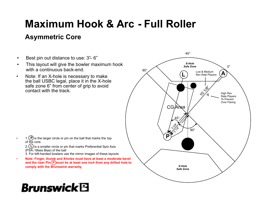### **Maximum Hook & Arc - Full Roller**

#### **Asymmetric Core**

- •**Best pin out distance to use:**  $3 - 6$ "
- • This layout will give the bowler maximum hookwith a continuous back-end.
- • Note: If an X-hole is necessary to make the ball USBC legal, place it in the X-hole safe zone 6" from center of grip to avoidcontact with the track.



**Brunswick<sup>®</sup>** 

•

• **Note: Finger, thumb and X**- **holes must have at least a moderate bevel** and the riser Pin( P*)*must be at least one inch from any drilled hole to **comply with the Brunswick warranty.**

#### CG/Area **P**10 1/8%  $90^{\circ}$ **A**.<br>3%م<br>- المراج Low & Medium Rev Rate PlayersHigh Rev Rate PlayersTo Prevent Over Flaring**L**45° $90^\circ$ 45° $0^{\circ}$ *X-Hole Safe ZoneX-HoleSafe Zone*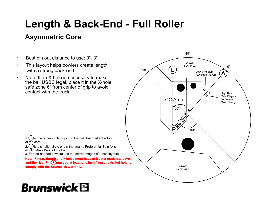#### **Length & Back-End - Full Roller**

#### **Asymmetric Core**

- •**Best pin out distance to use:**  $0 - 3$
- • This layout helps bowlers create lengthwith a strong back-end
- • Note: If an X-hole is necessary to make the ball USBC legal, place it in the X-hole safe zone 6" from center of grip to avoidcontact with the track.



 $\cdot$  1. (P) is the larger circle or pin on the ball that marks the top of the core. 2.〔L〕is a smaller circle or pin that marks Preferential Spin Axis

(PSA / Mass Bias) of the ball

- 3. For left-handed bowlers use the mirror images of these layouts
- **Note: Finger, thumb and X holes must have at least a moderate bevel** and the riser Pin( P*)*must be at least one inch from any drilled hole to **comply with the Brunswick warranty.**

### **Brunswick<sup>®</sup>**

•

•